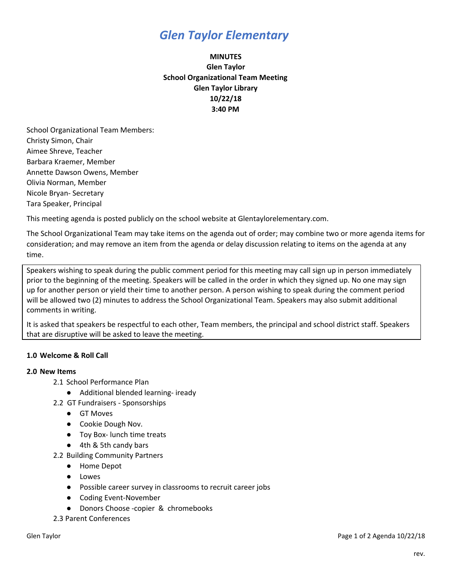## *Glen Taylor Elementary*

### **MINUTES Glen Taylor School Organizational Team Meeting Glen Taylor Library 10/22/18 3:40 PM**

School Organizational Team Members: Christy Simon, Chair Aimee Shreve, Teacher Barbara Kraemer, Member Annette Dawson Owens, Member Olivia Norman, Member Nicole Bryan- Secretary Tara Speaker, Principal

This meeting agenda is posted publicly on the school website at Glentaylorelementary.com.

The School Organizational Team may take items on the agenda out of order; may combine two or more agenda items for consideration; and may remove an item from the agenda or delay discussion relating to items on the agenda at any time.

Speakers wishing to speak during the public comment period for this meeting may call sign up in person immediately prior to the beginning of the meeting. Speakers will be called in the order in which they signed up. No one may sign up for another person or yield their time to another person. A person wishing to speak during the comment period will be allowed two (2) minutes to address the School Organizational Team. Speakers may also submit additional comments in writing.

It is asked that speakers be respectful to each other, Team members, the principal and school district staff. Speakers that are disruptive will be asked to leave the meeting.

### **1.0 Welcome & Roll Call**

#### **2.0 New Items**

- 2.1 School Performance Plan
	- Additional blended learning- iready
- 2.2 GT Fundraisers Sponsorships
	- GT Moves
	- Cookie Dough Nov.
	- Toy Box- lunch time treats
	- 4th & 5th candy bars
- 2.2 Building Community Partners
	- Home Depot
	- Lowes
	- Possible career survey in classrooms to recruit career jobs
	- Coding Event-November
	- Donors Choose -copier & chromebooks
- 2.3 Parent Conferences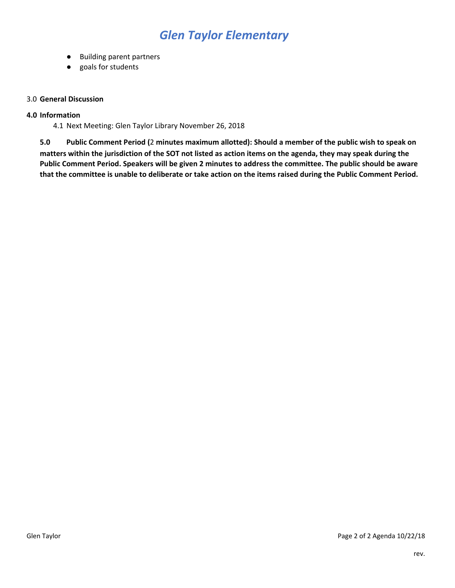# *Glen Taylor Elementary*

- Building parent partners
- goals for students

#### 3.0 **General Discussion**

#### **4.0 Information**

4.1 Next Meeting: Glen Taylor Library November 26, 2018

5.0 Public Comment Period (2 minutes maximum allotted): Should a member of the public wish to speak on matters within the jurisdiction of the SOT not listed as action items on the agenda, they may speak during the Public Comment Period. Speakers will be given 2 minutes to address the committee. The public should be aware that the committee is unable to deliberate or take action on the items raised during the Public Comment Period.